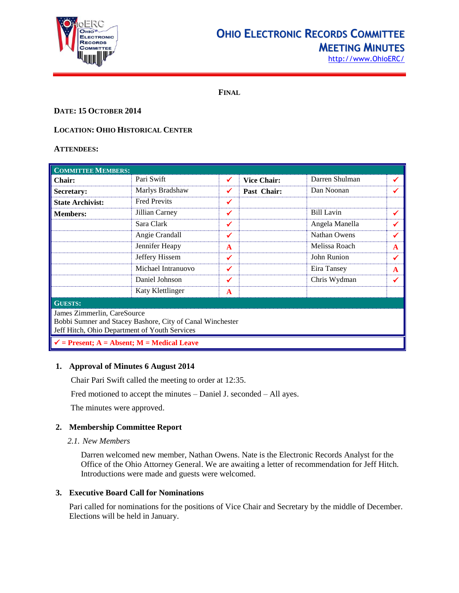

## **OHIO ELECTRONIC RECORDS COMMITTEE MEETING MINUTES**

**FINAL**

## **DATE: 15 OCTOBER 2014**

## **LOCATION: OHIO HISTORICAL CENTER**

## **ATTENDEES:**

| <b>COMMITTEE MEMBERS:</b>                                                                                                                 |                     |              |                    |                   |              |  |
|-------------------------------------------------------------------------------------------------------------------------------------------|---------------------|--------------|--------------------|-------------------|--------------|--|
| <b>Chair:</b>                                                                                                                             | Pari Swift          | ✓            | <b>Vice Chair:</b> | Darren Shulman    | ✔            |  |
| Secretary:                                                                                                                                | Marlys Bradshaw     | ✔            | Past Chair:        | Dan Noonan        |              |  |
| <b>State Archivist:</b>                                                                                                                   | <b>Fred Previts</b> | ✔            |                    |                   |              |  |
| <b>Members:</b>                                                                                                                           | Jillian Carney      | ✓            |                    | <b>Bill Lavin</b> | ✔            |  |
|                                                                                                                                           | Sara Clark          | ✔            |                    | Angela Manella    | ✔            |  |
|                                                                                                                                           | Angie Crandall      | ✓            |                    | Nathan Owens      | ✔            |  |
|                                                                                                                                           | Jennifer Heapy      | $\mathbf{A}$ |                    | Melissa Roach     | A            |  |
|                                                                                                                                           | Jeffery Hissem      | ✔            |                    | John Runion       | ✔            |  |
|                                                                                                                                           | Michael Intranuovo  | ✓            |                    | Eira Tansey       | $\mathbf{A}$ |  |
|                                                                                                                                           | Daniel Johnson      | ✔            |                    | Chris Wydman      | ✔            |  |
|                                                                                                                                           | Katy Klettlinger    | A            |                    |                   |              |  |
| <b>GUESTS:</b>                                                                                                                            |                     |              |                    |                   |              |  |
| James Zimmerlin, CareSource<br>Bobbi Sumner and Stacey Bashore, City of Canal Winchester<br>Jeff Hitch, Ohio Department of Youth Services |                     |              |                    |                   |              |  |
| $\checkmark$ = Present; A = Absent; M = Medical Leave                                                                                     |                     |              |                    |                   |              |  |

## **1. Approval of Minutes 6 August 2014**

Chair Pari Swift called the meeting to order at 12:35.

Fred motioned to accept the minutes – Daniel J. seconded – All ayes.

The minutes were approved.

## **2. Membership Committee Report**

#### *2.1. New Members*

Darren welcomed new member, Nathan Owens. Nate is the Electronic Records Analyst for the Office of the Ohio Attorney General. We are awaiting a letter of recommendation for Jeff Hitch. Introductions were made and guests were welcomed.

## **3. Executive Board Call for Nominations**

Pari called for nominations for the positions of Vice Chair and Secretary by the middle of December. Elections will be held in January.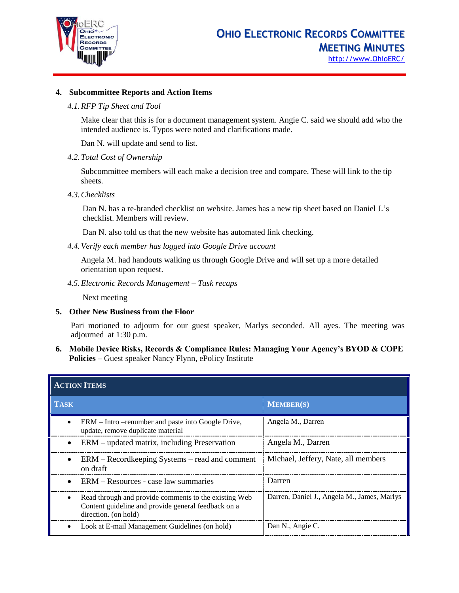

## **4. Subcommittee Reports and Action Items**

## *4.1.RFP Tip Sheet and Tool*

Make clear that this is for a document management system. Angie C. said we should add who the intended audience is. Typos were noted and clarifications made.

Dan N. will update and send to list.

*4.2.Total Cost of Ownership*

Subcommittee members will each make a decision tree and compare. These will link to the tip sheets.

*4.3.Checklists*

Dan N. has a re-branded checklist on website. James has a new tip sheet based on Daniel J.'s checklist. Members will review.

Dan N. also told us that the new website has automated link checking.

*4.4.Verify each member has logged into Google Drive account*

Angela M. had handouts walking us through Google Drive and will set up a more detailed orientation upon request.

*4.5.Electronic Records Management – Task recaps*

Next meeting

**5. Other New Business from the Floor**

Pari motioned to adjourn for our guest speaker, Marlys seconded. All ayes. The meeting was adjourned at 1:30 p.m.

**6. Mobile Device Risks, Records & Compliance Rules: Managing Your Agency's BYOD & COPE Policies** – Guest speaker Nancy Flynn, ePolicy Institute

| <b>ACTION ITEMS</b>                                                                                                                  |                                             |  |  |  |
|--------------------------------------------------------------------------------------------------------------------------------------|---------------------------------------------|--|--|--|
| <b>TASK</b>                                                                                                                          | <b>MEMBER(S)</b>                            |  |  |  |
| ERM – Intro – renumber and paste into Google Drive,<br>update, remove duplicate material                                             | Angela M., Darren                           |  |  |  |
| ERM – updated matrix, including Preservation<br>$\bullet$                                                                            | Angela M., Darren                           |  |  |  |
| ERM – Recordkeeping Systems – read and comment<br>on draft                                                                           | Michael, Jeffery, Nate, all members         |  |  |  |
| ERM – Resources - case law summaries<br>$\bullet$                                                                                    | Darren                                      |  |  |  |
| Read through and provide comments to the existing Web<br>Content guideline and provide general feedback on a<br>direction. (on hold) | Darren, Daniel J., Angela M., James, Marlys |  |  |  |
| Look at E-mail Management Guidelines (on hold)                                                                                       | Dan N., Angie C.                            |  |  |  |